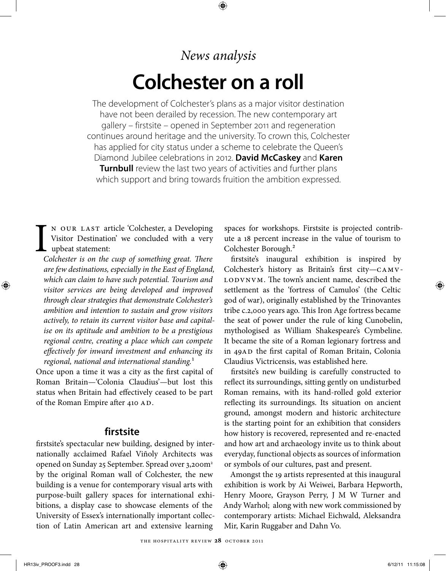# *News analysis* **Colchester on a roll**

 $\bigoplus$ 

The development of Colchester's plans as a major visitor destination have not been derailed by recession. The new contemporary art gallery – firstsite – opened in September 2011 and regeneration continues around heritage and the university. To crown this, Colchester has applied for city status under a scheme to celebrate the Queen's Diamond Jubilee celebrations in 2012. **David McCaskey** and **Karen Turnbull** review the last two years of activities and further plans which support and bring towards fruition the ambition expressed.

I n our last article 'Colchester, a Developing Visitor Destination' we concluded with a very upbeat statement:

*Colchester is on the cusp of something great. There are few destinations, especially in the East of England, which can claim to have such potential. Tourism and visitor services are being developed and improved through clear strategies that demonstrate Colchester's ambition and intention to sustain and grow visitors actively, to retain its current visitor base and capitalise on its aptitude and ambition to be a prestigious regional centre, creating a place which can compete effectively for inward investment and enhancing its regional, national and international standing.*1

Once upon a time it was a city as the first capital of Roman Britain—'Colonia Claudius'—but lost this status when Britain had effectively ceased to be part of the Roman Empire after 410 AD.

### **firstsite**

firstsite's spectacular new building, designed by internationally acclaimed Rafael Viñoly Architects was opened on Sunday 25 September. Spread over 3,200m2 by the original Roman wall of Colchester, the new building is a venue for contemporary visual arts with purpose-built gallery spaces for international exhibitions, a display case to showcase elements of the University of Essex's internationally important collection of Latin American art and extensive learning

spaces for workshops. Firstsite is projected contribute a 18 percent increase in the value of tourism to Colchester Borough.2

firstsite's inaugural exhibition is inspired by Colchester's history as Britain's first city—camv-LODVNVM. The town's ancient name, described the settlement as the 'fortress of Camulos' (the Celtic god of war), originally established by the Trinovantes tribe c.2,000 years ago. This Iron Age fortress became the seat of power under the rule of king Cunobelin, mythologised as William Shakespeare's Cymbeline. It became the site of a Roman legionary fortress and in 49ad the first capital of Roman Britain, Colonia Claudius Victricensis, was established here.

firstsite's new building is carefully constructed to reflect its surroundings, sitting gently on undisturbed Roman remains, with its hand-rolled gold exterior reflecting its surroundings. Its situation on ancient ground, amongst modern and historic architecture is the starting point for an exhibition that considers how history is recovered, represented and re-enacted and how art and archaeology invite us to think about everyday, functional objects as sources of information or symbols of our cultures, past and present.

Amongst the 19 artists represented at this inaugural exhibition is work by Ai Weiwei, Barbara Hepworth, Henry Moore, Grayson Perry, J M W Turner and Andy Warhol; along with new work commissioned by contemporary artists: Michael Eichwald, Aleksandra Mir, Karin Ruggaber and Dahn Vo.

⊕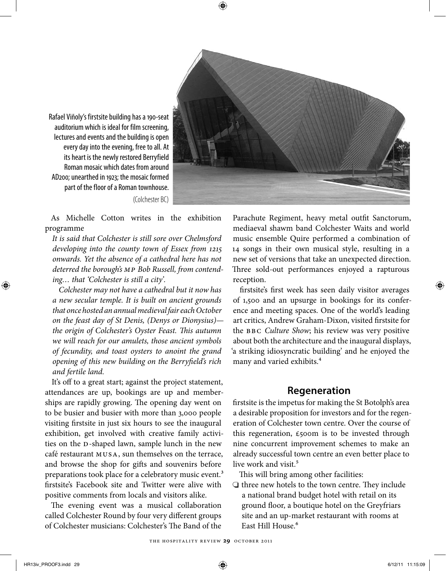$\bm \Theta$ 



Rafael Viñoly's firstsite building has a 190-seat auditorium which is ideal for film screening, lectures and events and the building is open every day into the evening, free to all. At its heart is the newly restored Berryfield Roman mosaic which dates from around AD200; unearthed in 1923; the mosaic formed part of the floor of a Roman townhouse. (Colchester BC)

As Michelle Cotton writes in the exhibition programme

*It is said that Colchester is still sore over Chelmsford developing into the county town of Essex from 1215 onwards. Yet the absence of a cathedral here has not deterred the borough's mp Bob Russell, from contending… that 'Colchester is still a city'.* 

*Colchester may not have a cathedral but it now has a new secular temple. It is built on ancient grounds that once hosted an annual medieval fair each October on the feast day of St Denis, (Denys or Dionysius) the origin of Colchester's Oyster Feast. This autumn we will reach for our amulets, those ancient symbols of fecundity, and toast oysters to anoint the grand opening of this new building on the Berryfield's rich and fertile land.*

It's off to a great start; against the project statement, attendances are up, bookings are up and memberships are rapidly growing. The opening day went on to be busier and busier with more than 3,000 people visiting firstsite in just six hours to see the inaugural exhibition, get involved with creative family activities on the D-shaped lawn, sample lunch in the new café restaurant musa, sun themselves on the terrace, and browse the shop for gifts and souvenirs before preparations took place for a celebratory music event.<sup>3</sup> firstsite's Facebook site and Twitter were alive with positive comments from locals and visitors alike.

The evening event was a musical collaboration called Colchester Round by four very different groups of Colchester musicians: Colchester's The Band of the

Parachute Regiment, heavy metal outfit Sanctorum, mediaeval shawm band Colchester Waits and world music ensemble Quire performed a combination of 14 songs in their own musical style, resulting in a new set of versions that take an unexpected direction. Three sold-out performances enjoyed a rapturous reception.

firstsite's first week has seen daily visitor averages of 1,500 and an upsurge in bookings for its conference and meeting spaces. One of the world's leading art critics, Andrew Graham-Dixon, visited firstsite for the bbc *Culture Show*; his review was very positive about both the architecture and the inaugural displays, 'a striking idiosyncratic building' and he enjoyed the many and varied exhibits.4

#### **Regeneration**

firstsite is the impetus for making the St Botolph's area a desirable proposition for investors and for the regeneration of Colchester town centre. Over the course of this regeneration,  $\epsilon$ 500m is to be invested through nine concurrent improvement schemes to make an already successful town centre an even better place to live work and visit.<sup>5</sup>

This will bring among other facilities:

 $\bigcirc$  three new hotels to the town centre. They include a national brand budget hotel with retail on its ground floor, a boutique hotel on the Greyfriars site and an up-market restaurant with rooms at East Hill House<sup>6</sup>

↔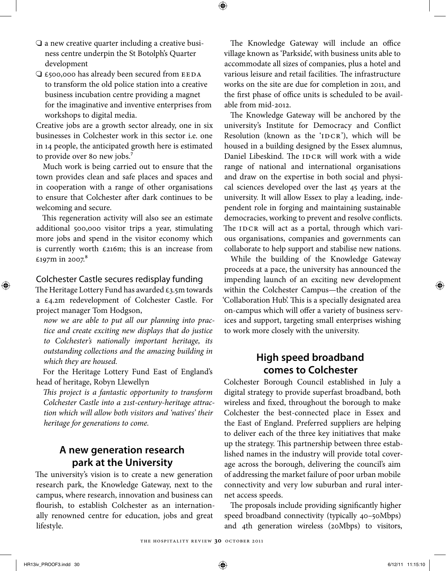- $\Box$  a new creative quarter including a creative business centre underpin the St Botolph's Quarter development
- $\Box$  £500,000 has already been secured from EEDA to transform the old police station into a creative business incubation centre providing a magnet for the imaginative and inventive enterprises from workshops to digital media.

Creative jobs are a growth sector already, one in six businesses in Colchester work in this sector i.e. one in 14 people, the anticipated growth here is estimated to provide over 80 new jobs.<sup>7</sup>

Much work is being carried out to ensure that the town provides clean and safe places and spaces and in cooperation with a range of other organisations to ensure that Colchester after dark continues to be welcoming and secure.

This regeneration activity will also see an estimate additional 500,000 visitor trips a year, stimulating more jobs and spend in the visitor economy which is currently worth £216m; this is an increase from £197m in 2007.<sup>8</sup>

#### Colchester Castle secures redisplay funding

The Heritage Lottery Fund has awarded  $\epsilon_3$ .5m towards a £4.2m redevelopment of Colchester Castle. For project manager Tom Hodgson,

*now we are able to put all our planning into practice and create exciting new displays that do justice to Colchester's nationally important heritage, its outstanding collections and the amazing building in which they are housed.*

For the Heritage Lottery Fund East of England's head of heritage, Robyn Llewellyn

*This project is a fantastic opportunity to transform Colchester Castle into a 21st-century-heritage attraction which will allow both visitors and 'natives' their heritage for generations to come.*

## **A new generation research park at the University**

The university's vision is to create a new generation research park, the Knowledge Gateway, next to the campus, where research, innovation and business can flourish, to establish Colchester as an internationally renowned centre for education, jobs and great lifestyle.

The Knowledge Gateway will include an office village known as 'Parkside', with business units able to accommodate all sizes of companies, plus a hotel and various leisure and retail facilities. The infrastructure works on the site are due for completion in 2011, and the first phase of office units is scheduled to be available from mid-2012.

 $\bigoplus$ 

The Knowledge Gateway will be anchored by the university's Institute for Democracy and Conflict Resolution (known as the ' $IDCR$ ), which will be housed in a building designed by the Essex alumnus, Daniel Libeskind. The IDCR will work with a wide range of national and international organisations and draw on the expertise in both social and physical sciences developed over the last 45 years at the university. It will allow Essex to play a leading, independent role in forging and maintaining sustainable democracies, working to prevent and resolve conflicts. The IDCR will act as a portal, through which various organisations, companies and governments can collaborate to help support and stabilise new nations.

While the building of the Knowledge Gateway proceeds at a pace, the university has announced the impending launch of an exciting new development within the Colchester Campus—the creation of the 'Collaboration Hub'. This is a specially designated area on-campus which will offer a variety of business services and support, targeting small enterprises wishing to work more closely with the university.

## **High speed broadband comes to Colchester**

Colchester Borough Council established in July a digital strategy to provide superfast broadband, both wireless and fixed, throughout the borough to make Colchester the best-connected place in Essex and the East of England. Preferred suppliers are helping to deliver each of the three key initiatives that make up the strategy. This partnership between three established names in the industry will provide total coverage across the borough, delivering the council's aim of addressing the market failure of poor urban mobile connectivity and very low suburban and rural internet access speeds.

The proposals include providing significantly higher speed broadband connectivity (typically 40–50Mbps) and 4th generation wireless (20Mbps) to visitors,

↔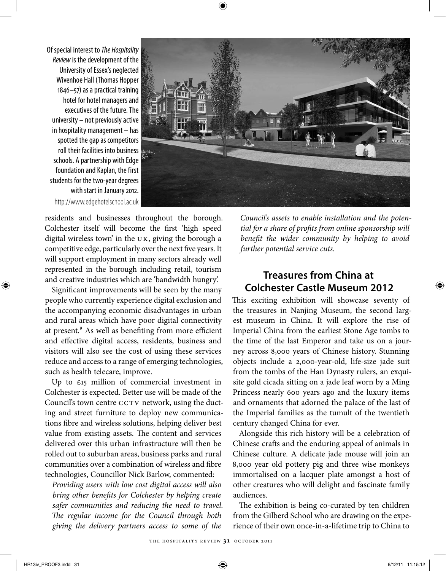Of special interest to *The Hospitality Review* is the development of the University of Essex's neglected Wivenhoe Hall (Thomas Hopper 1846–57) as a practical training hotel for hotel managers and executives of the future. The university – not previously active in hospitality management – has spotted the gap as competitors roll their facilities into business schools. A partnership with Edge foundation and Kaplan, the first students for the two-year degrees with start in January 2012. http://www.edgehotelschool.ac.uk



residents and businesses throughout the borough. Colchester itself will become the first 'high speed digital wireless town' in the  $UK$ , giving the borough a competitive edge, particularly over the next five years. It will support employment in many sectors already well represented in the borough including retail, tourism and creative industries which are 'bandwidth hungry'.

Significant improvements will be seen by the many people who currently experience digital exclusion and the accompanying economic disadvantages in urban and rural areas which have poor digital connectivity at present.<sup>9</sup> As well as benefiting from more efficient and effective digital access, residents, business and visitors will also see the cost of using these services reduce and access to a range of emerging technologies, such as health telecare, improve.

Up to  $\epsilon$ 15 million of commercial investment in Colchester is expected. Better use will be made of the Council's town centre CCTV network, using the ducting and street furniture to deploy new communications fibre and wireless solutions, helping deliver best value from existing assets. The content and services delivered over this urban infrastructure will then be rolled out to suburban areas, business parks and rural communities over a combination of wireless and fibre technologies, Councillor Nick Barlow, commented:

*Providing users with low cost digital access will also bring other benefits for Colchester by helping create safer communities and reducing the need to travel. The regular income for the Council through both giving the delivery partners access to some of the* 

*Council's assets to enable installation and the potential for a share of profits from online sponsorship will benefit the wider community by helping to avoid further potential service cuts.*

# **Treasures from China at Colchester Castle Museum 2012**

This exciting exhibition will showcase seventy of the treasures in Nanjing Museum, the second largest museum in China. It will explore the rise of Imperial China from the earliest Stone Age tombs to the time of the last Emperor and take us on a journey across 8,000 years of Chinese history. Stunning objects include a 2,000-year-old, life-size jade suit from the tombs of the Han Dynasty rulers, an exquisite gold cicada sitting on a jade leaf worn by a Ming Princess nearly 600 years ago and the luxury items and ornaments that adorned the palace of the last of the Imperial families as the tumult of the twentieth century changed China for ever.

Alongside this rich history will be a celebration of Chinese crafts and the enduring appeal of animals in Chinese culture. A delicate jade mouse will join an 8,000 year old pottery pig and three wise monkeys immortalised on a lacquer plate amongst a host of other creatures who will delight and fascinate family audiences.

The exhibition is being co-curated by ten children from the Gilberd School who are drawing on the experience of their own once-in-a-lifetime trip to China to

⊕